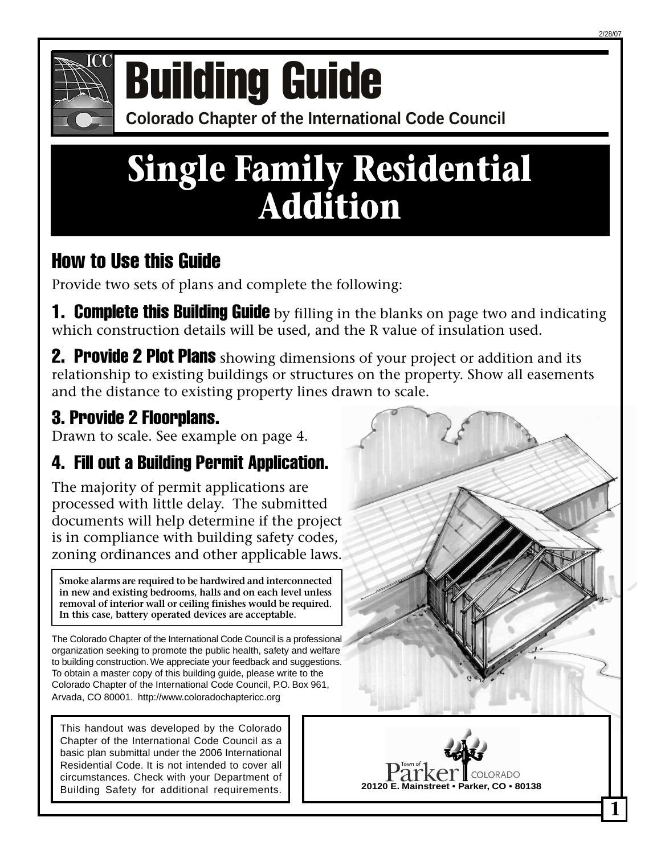

# **COMPONICE COLORATION CONFERENCE OF COLORATION CONFERENCE COLORATION GUIDE**

## **Single Family Residential Addition**

## How to Use this Guide

Provide two sets of plans and complete the following:

**1. Complete this Building Guide** by filling in the blanks on page two and indicating which construction details will be used, and the R value of insulation used.

**2. Provide 2 Plot Plans** showing dimensions of your project or addition and its relationship to existing buildings or structures on the property. Show all easements and the distance to existing property lines drawn to scale.

## 3. Provide 2 Floorplans.

Drawn to scale. See example on page 4.

## 4. Fill out a Building Permit Application.

The majority of permit applications are processed with little delay. The submitted documents will help determine if the project is in compliance with building safety codes, zoning ordinances and other applicable laws.

**Smoke alarms are required to be hardwired and interconnected in new and existing bedrooms, halls and on each level unless removal of interior wall or ceiling finishes would be required. In this case, battery operated devices are acceptable.**

The Colorado Chapter of the International Code Council is a professional organization seeking to promote the public health, safety and welfare to building construction. We appreciate your feedback and suggestions. To obtain a master copy of this building guide, please write to the Colorado Chapter of the International Code Council, P.O. Box 961, Arvada, CO 80001. http://www.coloradochaptericc.org

This handout was developed by the Colorado Chapter of the International Code Council as a basic plan submittal under the 2006 International Residential Code. It is not intended to cover all circumstances. Check with your Department of Building Safety for additional requirements.



**1**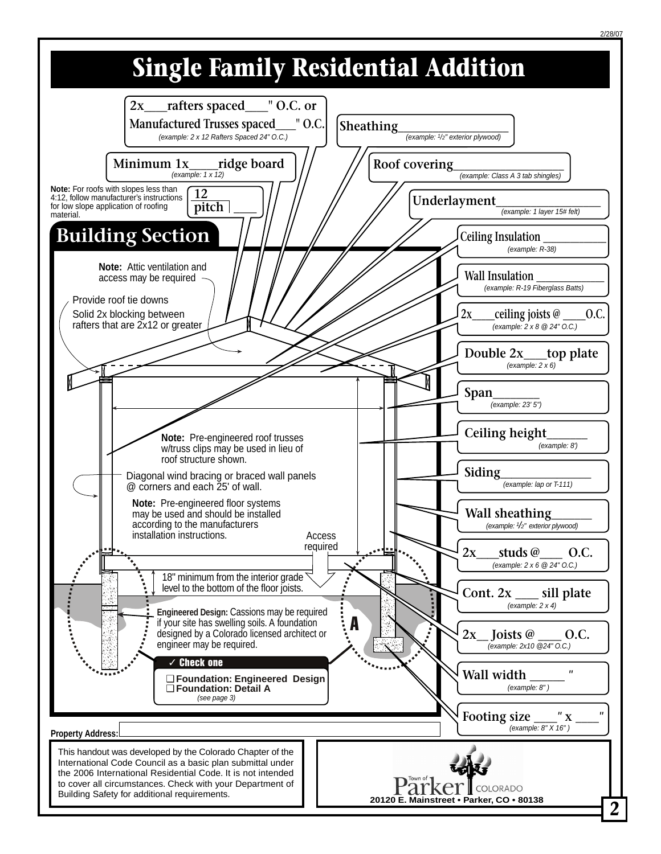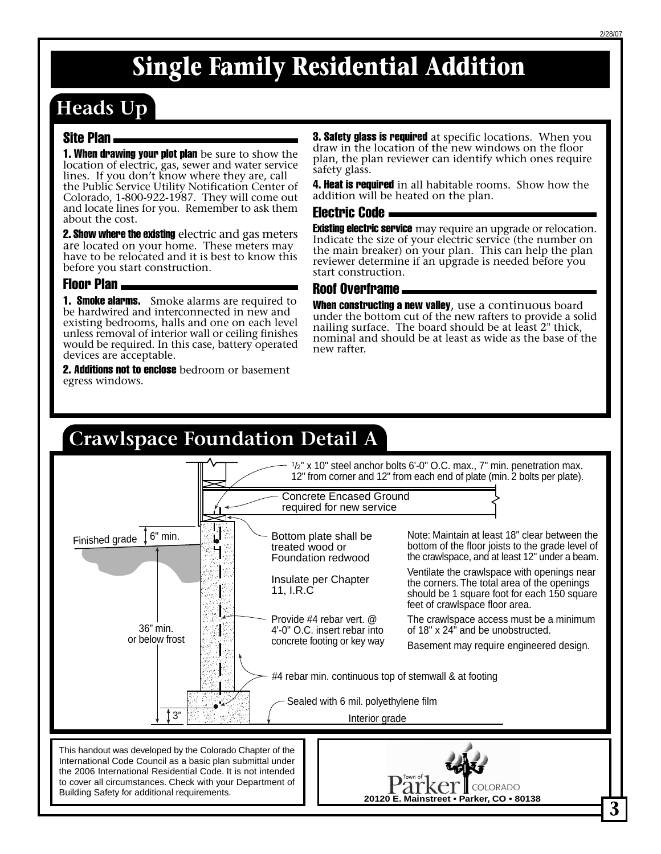## **Heads Up**

#### Site Plan

**1. When drawing your plot plan** be sure to show the location of electric, gas, sewer and water service lines. If you don't know where they are, call

the Public Service Utility Notification Center of Colorado, 1-800-922-1987. They will come out and locate lines for you. Remember to ask them about the cost.

**2. Show where the existing** electric and gas meters are located on your home. These meters may have to be relocated and it is best to know this before you start construction.

#### Floor Plan

**1. Smoke alarms.** Smoke alarms are required to be hardwired and interconnected in new and existing bedrooms, halls and one on each level unless removal of interior wall or ceiling finishes would be required. In this case, battery operated devices are acceptable.

**2. Additions not to enclose** bedroom or basement egress windows.

**3. Safety glass is required** at specific locations. When you draw in the location of the new windows on the floor plan, the plan reviewer can identify which ones require safety glass.

**4. Heat is required** in all habitable rooms. Show how the addition will be heated on the plan.

#### Electric Code

**Existing electric service** may require an upgrade or relocation. Indicate the size of your electric service (the number on the main breaker) on your plan. This can help the plan reviewer determine if an upgrade is needed before you start construction.

#### Roof Overframe

When constructing a new valley, use a continuous board under the bottom cut of the new rafters to provide a solid nailing surface. The board should be at least 2" thick, nominal and should be at least as wide as the base of the new rafter.

#### **Crawlspace Foundation Detail A 3** 1 /2" x 10" steel anchor bolts 6'-0" O.C. max., 7" min. penetration max. 12" from corner and 12" from each end of plate (min. 2 bolts per plate). Finished grade #4 rebar min. continuous top of stemwall & at footing 36" min. or below frost 6" min. Provide #4 rebar vert. @ 4'-0" O.C. insert rebar into concrete footing or key way Bottom plate shall be treated wood or Foundation redwood 3" Note: Maintain at least 18" clear between the bottom of the floor joists to the grade level of the crawlspace, and at least 12" under a beam. Ventilate the crawlspace with openings near the corners. The total area of the openings should be 1 square foot for each 150 square feet of crawlspace floor area. The crawlspace access must be a minimum of 18" x 24" and be unobstructed. Basement may require engineered design. Insulate per Chapter 11, I.R.C Sealed with 6 mil. polyethylene film Interior grade Concrete Encased Ground required for new service This handout was developed by the Colorado Chapter of the International Code Council as a basic plan submittal under the 2006 International Residential Code. It is not intended to cover all circumstances. Check with your Department of<br>Building Safety for additional requirements. **Building Safety For ADDITION**<br>**20120 E. Mainstreet • Parker, CO • 80138**